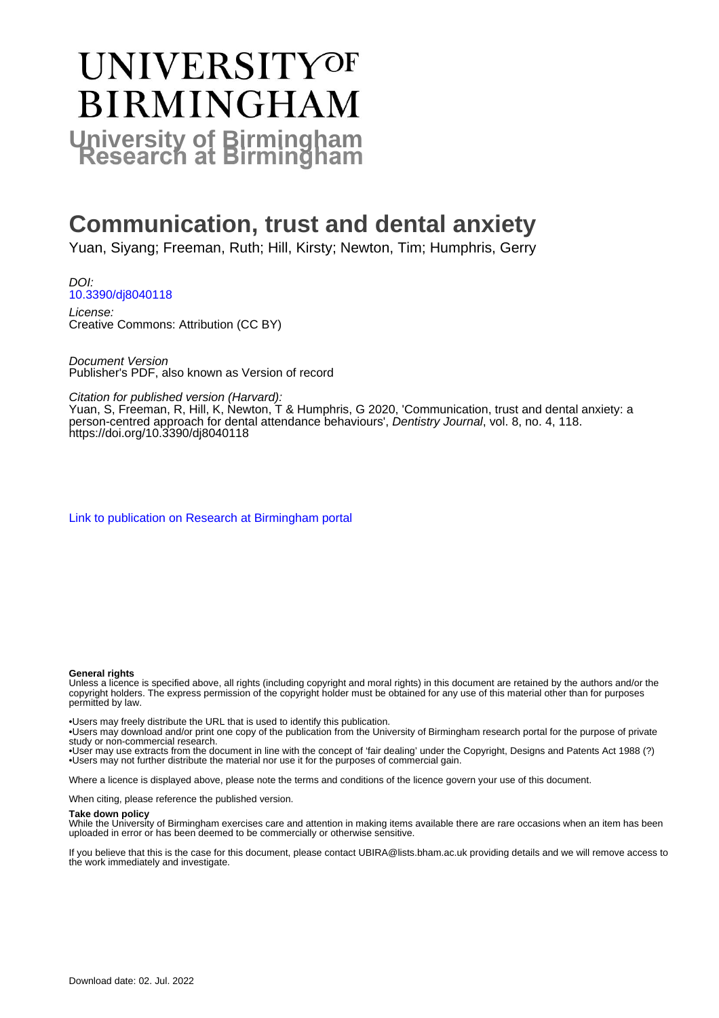# **UNIVERSITYOF BIRMINGHAM University of Birmingham**

## **Communication, trust and dental anxiety**

Yuan, Siyang; Freeman, Ruth; Hill, Kirsty; Newton, Tim; Humphris, Gerry

DOI: [10.3390/dj8040118](https://doi.org/10.3390/dj8040118)

License: Creative Commons: Attribution (CC BY)

Document Version Publisher's PDF, also known as Version of record

Citation for published version (Harvard):

Yuan, S, Freeman, R, Hill, K, Newton, T & Humphris, G 2020, 'Communication, trust and dental anxiety: a person-centred approach for dental attendance behaviours', Dentistry Journal, vol. 8, no. 4, 118. <https://doi.org/10.3390/dj8040118>

[Link to publication on Research at Birmingham portal](https://birmingham.elsevierpure.com/en/publications/7df53a16-9739-4f40-9bf6-2654974e7e47)

#### **General rights**

Unless a licence is specified above, all rights (including copyright and moral rights) in this document are retained by the authors and/or the copyright holders. The express permission of the copyright holder must be obtained for any use of this material other than for purposes permitted by law.

• Users may freely distribute the URL that is used to identify this publication.

• Users may download and/or print one copy of the publication from the University of Birmingham research portal for the purpose of private study or non-commercial research.

• User may use extracts from the document in line with the concept of 'fair dealing' under the Copyright, Designs and Patents Act 1988 (?) • Users may not further distribute the material nor use it for the purposes of commercial gain.

Where a licence is displayed above, please note the terms and conditions of the licence govern your use of this document.

When citing, please reference the published version.

#### **Take down policy**

While the University of Birmingham exercises care and attention in making items available there are rare occasions when an item has been uploaded in error or has been deemed to be commercially or otherwise sensitive.

If you believe that this is the case for this document, please contact UBIRA@lists.bham.ac.uk providing details and we will remove access to the work immediately and investigate.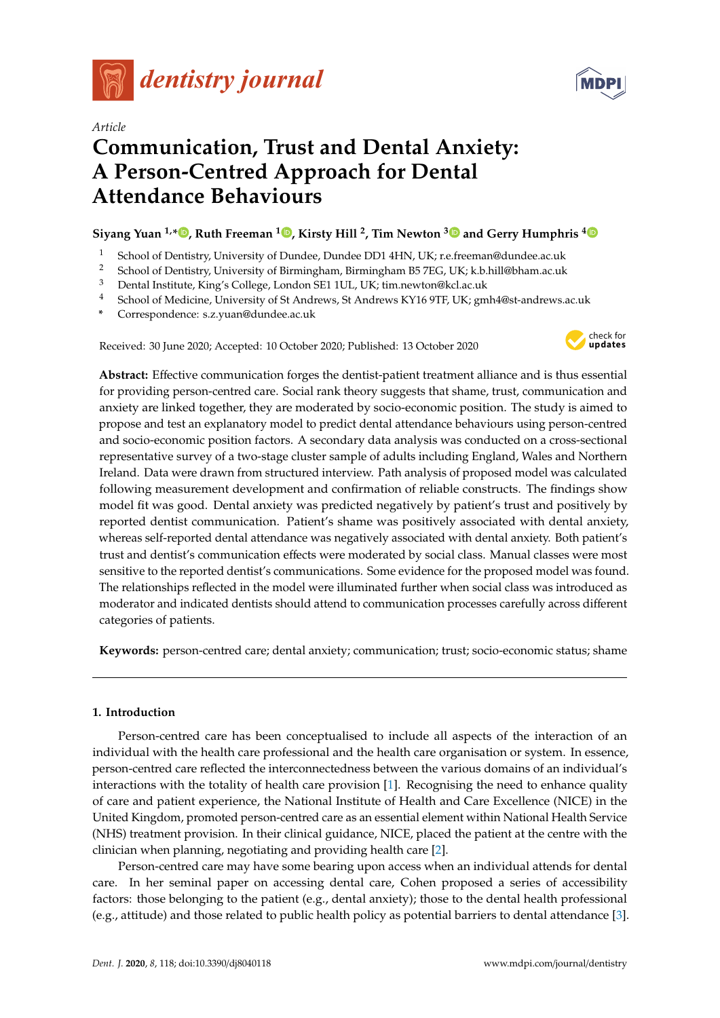



### *Article* **Communication, Trust and Dental Anxiety: A Person-Centred Approach for Dental Attendance Behaviours**

#### **Siyang Yuan 1,[\\*](https://orcid.org/0000-0001-6661-5444) , Ruth Freeman <sup>1</sup> [,](https://orcid.org/0000-0002-8733-1253) Kirsty Hill <sup>2</sup> , Tim Newton [3](https://orcid.org/0000-0003-4082-6942) and Gerry Humphris [4](https://orcid.org/0000-0002-4601-8834)**

- <sup>1</sup> School of Dentistry, University of Dundee, Dundee DD1 4HN, UK; r.e.freeman@dundee.ac.uk
- 2 School of Dentistry, University of Birmingham, Birmingham B5 7EG, UK; k.b.hill@bham.ac.uk<br>3 Dental Institute King's College J onder SE1 1H J. L.V.tim nexuton@kel ac.uk
- <sup>3</sup> Dental Institute, King's College, London SE1 1UL, UK; tim.newton@kcl.ac.uk
- <sup>4</sup> School of Medicine, University of St Andrews, St Andrews KY16 9TF, UK; gmh4@st-andrews.ac.uk
- **\*** Correspondence: s.z.yuan@dundee.ac.uk

Received: 30 June 2020; Accepted: 10 October 2020; Published: 13 October 2020



**Abstract:** Effective communication forges the dentist-patient treatment alliance and is thus essential for providing person-centred care. Social rank theory suggests that shame, trust, communication and anxiety are linked together, they are moderated by socio-economic position. The study is aimed to propose and test an explanatory model to predict dental attendance behaviours using person-centred and socio-economic position factors. A secondary data analysis was conducted on a cross-sectional representative survey of a two-stage cluster sample of adults including England, Wales and Northern Ireland. Data were drawn from structured interview. Path analysis of proposed model was calculated following measurement development and confirmation of reliable constructs. The findings show model fit was good. Dental anxiety was predicted negatively by patient's trust and positively by reported dentist communication. Patient's shame was positively associated with dental anxiety, whereas self-reported dental attendance was negatively associated with dental anxiety. Both patient's trust and dentist's communication effects were moderated by social class. Manual classes were most sensitive to the reported dentist's communications. Some evidence for the proposed model was found. The relationships reflected in the model were illuminated further when social class was introduced as moderator and indicated dentists should attend to communication processes carefully across different categories of patients.

**Keywords:** person-centred care; dental anxiety; communication; trust; socio-economic status; shame

#### **1. Introduction**

Person-centred care has been conceptualised to include all aspects of the interaction of an individual with the health care professional and the health care organisation or system. In essence, person-centred care reflected the interconnectedness between the various domains of an individual's interactions with the totality of health care provision [\[1\]](#page-9-0). Recognising the need to enhance quality of care and patient experience, the National Institute of Health and Care Excellence (NICE) in the United Kingdom, promoted person-centred care as an essential element within National Health Service (NHS) treatment provision. In their clinical guidance, NICE, placed the patient at the centre with the clinician when planning, negotiating and providing health care [\[2\]](#page-9-1).

Person-centred care may have some bearing upon access when an individual attends for dental care. In her seminal paper on accessing dental care, Cohen proposed a series of accessibility factors: those belonging to the patient (e.g., dental anxiety); those to the dental health professional (e.g., attitude) and those related to public health policy as potential barriers to dental attendance [\[3\]](#page-9-2).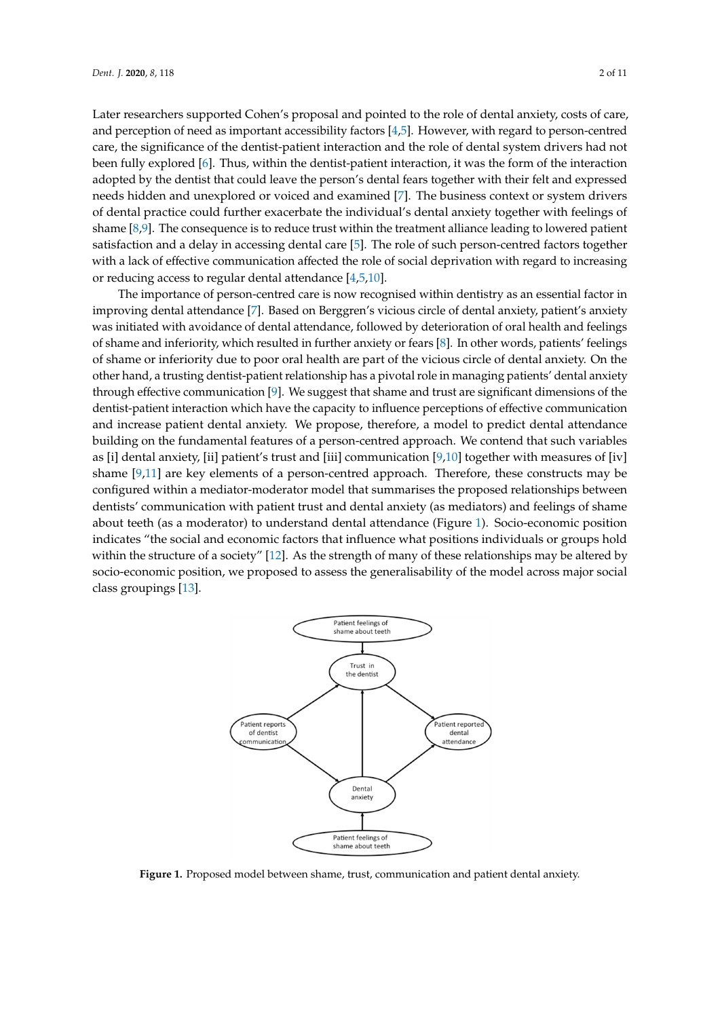Later researchers supported Cohen's proposal and pointed to the role of dental anxiety, costs of care, and perception of need as important accessibility factors [\[4,](#page-9-3)[5\]](#page-9-4). However, with regard to person-centred care, the significance of the dentist-patient interaction and the role of dental system drivers had not been fully explored [\[6\]](#page-9-5). Thus, within the dentist-patient interaction, it was the form of the interaction been fully explored [6]. Thus, within the dentist-patient interaction, it was the form of the interaction adopted by the dentist that could leave the person's dental fears together with their felt and expressed adopted by the dentist that could leave the person's dental fears together with their felt and expressed needs hidden and unexplored or voiced and examined [\[7\]](#page-9-6). The business context or system drivers of the state of the state of the state of the state of the state of the state of the state of the state of the state of the sta of dental practice could further exacerbate the individual's dental anxiety together with feelings of dental practice could further exacerbate the individual's dental anxiety together with feelings of shame [\[8](#page-9-7)[,9\]](#page-9-8). The consequence is to reduce trust within the treatment alliance leading to lowered patient shame [8,9]. The consequence is to reduce trust within the treatment alliance leading to lowered satisfaction and a delay in accessing dental care [\[5\]](#page-9-4). The role of such person-centred factors together with a lack of effective communication affected the role of social deprivation with regard to increasing with or reducing access to regular dental attendance  $[4,5,10]$  $[4,5,10]$  $[4,5,10]$ .

The importance of person-centred care is now recognised within dentistry as an essential factor in improving dental attendance [\[7\]](#page-9-6). Based on Berggren's vicious circle of dental anxiety, patient's anxiety was initiated with avoidance of dental attendance, followed by deterioration of oral health and feelings varia-of shame and inferiority, which resulted in further anxiety or fears [\[8\]](#page-9-7). In other words, patients' feelings of shame and inferiority, which resulted in further anxiety or fears [8]. In other words, patients' feelings of shame or inferiority due to poor oral health are part of the vicious circle of dental anxiety. On the other hand, a trusting dentist-patient relationship has a pivotal role in managing patients' dental anxiety<br>. through effective communication  $[9]$ . We suggest that shame and trust are significant dimensions of the dentist-patient interaction which have the capacity to influence perceptions of effective communication and increase patient dental anxiety. We propose, therefore, a model to predict dental attendance building on the fundamental features of a person-centred approach. We contend that such variables as [i] dental anxiety, [ii] patient's trust and [iii] communication  $[9,10]$  $[9,10]$  together with measures of [iv] shame  $[9,11]$  $[9,11]$  are key elements of a person-centred approach. Therefore, these constructs may be configured within a mediator-moderator model that summarises the proposed relationships between dentists' communication with patient trust and dental anxiety (as mediators) and feelings of shame about teeth (as a moderator) to understand dental attendance (Figure [1\)](#page-2-0). Socio-economic position indicates "the social and economic factors that influence what positions individuals or groups hold within the structure of a society" [\[12\]](#page-9-11). As the strength of many of these relationships may be altered by socio-economic position, we proposed to assess the generalisability of the model across major social class groupings [\[13\]](#page-9-12).

<span id="page-2-0"></span>

**Figure 1.** Proposed model between shame, trust, communication and patient dental anxiety. **Figure 1.** Proposed model between shame, trust, communication and patient dental anxiety.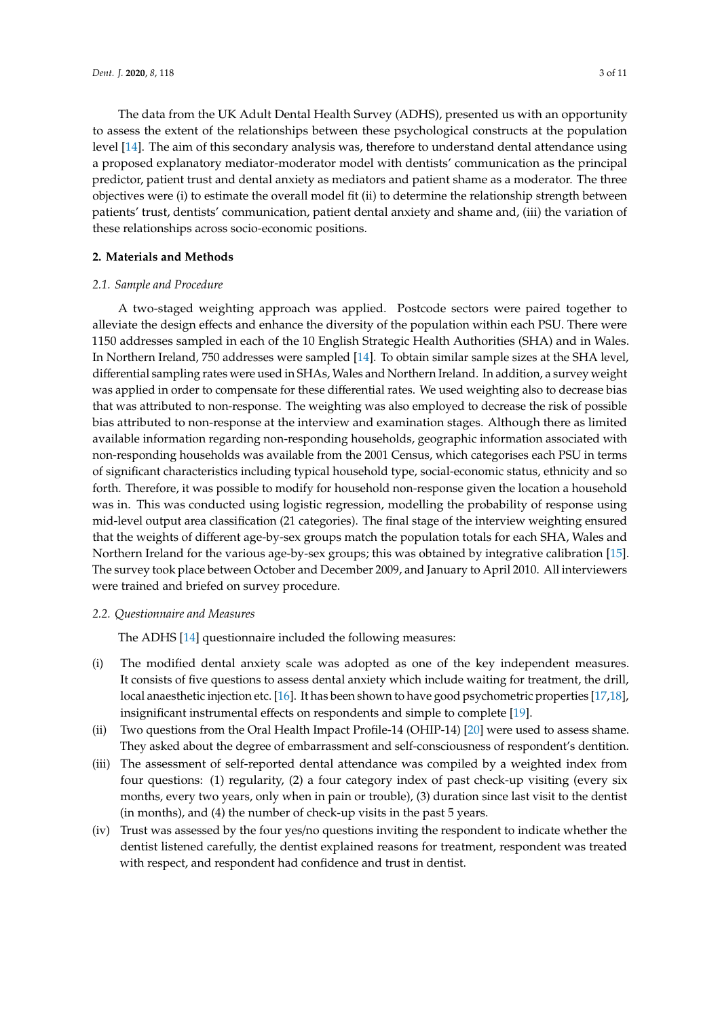The data from the UK Adult Dental Health Survey (ADHS), presented us with an opportunity to assess the extent of the relationships between these psychological constructs at the population level [\[14\]](#page-9-13). The aim of this secondary analysis was, therefore to understand dental attendance using a proposed explanatory mediator-moderator model with dentists' communication as the principal predictor, patient trust and dental anxiety as mediators and patient shame as a moderator. The three objectives were (i) to estimate the overall model fit (ii) to determine the relationship strength between patients' trust, dentists' communication, patient dental anxiety and shame and, (iii) the variation of these relationships across socio-economic positions.

#### **2. Materials and Methods**

#### *2.1. Sample and Procedure*

A two-staged weighting approach was applied. Postcode sectors were paired together to alleviate the design effects and enhance the diversity of the population within each PSU. There were 1150 addresses sampled in each of the 10 English Strategic Health Authorities (SHA) and in Wales. In Northern Ireland, 750 addresses were sampled [\[14\]](#page-9-13). To obtain similar sample sizes at the SHA level, differential sampling rates were used in SHAs, Wales and Northern Ireland. In addition, a survey weight was applied in order to compensate for these differential rates. We used weighting also to decrease bias that was attributed to non-response. The weighting was also employed to decrease the risk of possible bias attributed to non-response at the interview and examination stages. Although there as limited available information regarding non-responding households, geographic information associated with non-responding households was available from the 2001 Census, which categorises each PSU in terms of significant characteristics including typical household type, social-economic status, ethnicity and so forth. Therefore, it was possible to modify for household non-response given the location a household was in. This was conducted using logistic regression, modelling the probability of response using mid-level output area classification (21 categories). The final stage of the interview weighting ensured that the weights of different age-by-sex groups match the population totals for each SHA, Wales and Northern Ireland for the various age-by-sex groups; this was obtained by integrative calibration [\[15\]](#page-10-0). The survey took place between October and December 2009, and January to April 2010. All interviewers were trained and briefed on survey procedure.

#### *2.2. Questionnaire and Measures*

The ADHS [\[14\]](#page-9-13) questionnaire included the following measures:

- (i) The modified dental anxiety scale was adopted as one of the key independent measures. It consists of five questions to assess dental anxiety which include waiting for treatment, the drill, local anaesthetic injection etc. [\[16\]](#page-10-1). It has been shown to have good psychometric properties [\[17](#page-10-2)[,18\]](#page-10-3), insignificant instrumental effects on respondents and simple to complete [\[19\]](#page-10-4).
- (ii) Two questions from the Oral Health Impact Profile-14 (OHIP-14) [\[20\]](#page-10-5) were used to assess shame. They asked about the degree of embarrassment and self-consciousness of respondent's dentition.
- (iii) The assessment of self-reported dental attendance was compiled by a weighted index from four questions: (1) regularity, (2) a four category index of past check-up visiting (every six months, every two years, only when in pain or trouble), (3) duration since last visit to the dentist (in months), and (4) the number of check-up visits in the past 5 years.
- (iv) Trust was assessed by the four yes/no questions inviting the respondent to indicate whether the dentist listened carefully, the dentist explained reasons for treatment, respondent was treated with respect, and respondent had confidence and trust in dentist.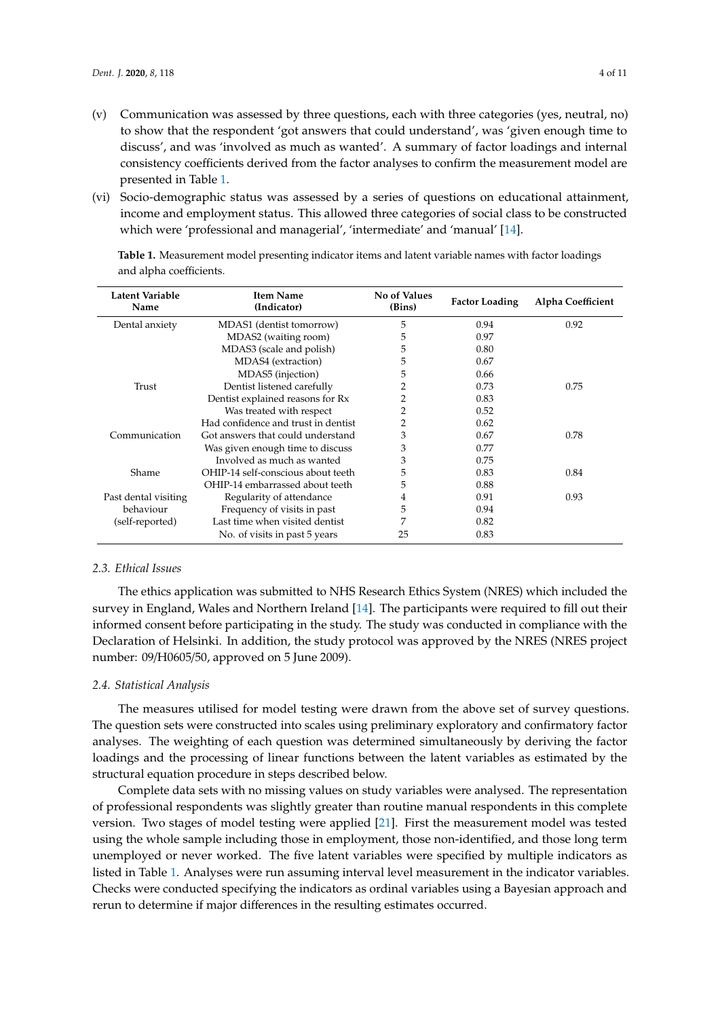- (v) Communication was assessed by three questions, each with three categories (yes, neutral, no) to show that the respondent 'got answers that could understand', was 'given enough time to discuss', and was 'involved as much as wanted'. A summary of factor loadings and internal consistency coefficients derived from the factor analyses to confirm the measurement model are presented in Table [1.](#page-4-0)
- (vi) Socio-demographic status was assessed by a series of questions on educational attainment, income and employment status. This allowed three categories of social class to be constructed which were 'professional and managerial', 'intermediate' and 'manual' [\[14\]](#page-9-13).

| Latent Variable<br>Name | <b>Item Name</b><br>(Indicator)     | <b>No of Values</b><br>(Bins) | <b>Factor Loading</b> | Alpha Coefficient |
|-------------------------|-------------------------------------|-------------------------------|-----------------------|-------------------|
| Dental anxiety          | MDAS1 (dentist tomorrow)            | 5                             | 0.94                  | 0.92              |
|                         | MDAS2 (waiting room)                | 5                             | 0.97                  |                   |
|                         | MDAS3 (scale and polish)            | 5                             | 0.80                  |                   |
|                         | MDAS4 (extraction)                  | 5                             | 0.67                  |                   |
|                         | MDAS5 (injection)                   | 5                             | 0.66                  |                   |
| Trust                   | Dentist listened carefully          |                               | 0.73                  | 0.75              |
|                         | Dentist explained reasons for Rx    | 2                             | 0.83                  |                   |
|                         | Was treated with respect            |                               | 0.52                  |                   |
|                         | Had confidence and trust in dentist | 2                             | 0.62                  |                   |
| Communication           | Got answers that could understand   | 3                             | 0.67                  | 0.78              |
|                         | Was given enough time to discuss    | 3                             | 0.77                  |                   |
|                         | Involved as much as wanted          | 3                             | 0.75                  |                   |
| Shame                   | OHIP-14 self-conscious about teeth  | 5                             | 0.83                  | 0.84              |
|                         | OHIP-14 embarrassed about teeth     | 5                             | 0.88                  |                   |
| Past dental visiting    | Regularity of attendance            | 4                             | 0.91                  | 0.93              |
| behaviour               | Frequency of visits in past         | 5                             | 0.94                  |                   |
| (self-reported)         | Last time when visited dentist      | 7                             | 0.82                  |                   |
|                         | No. of visits in past 5 years       | 25                            | 0.83                  |                   |

<span id="page-4-0"></span>**Table 1.** Measurement model presenting indicator items and latent variable names with factor loadings and alpha coefficients.

#### *2.3. Ethical Issues*

The ethics application was submitted to NHS Research Ethics System (NRES) which included the survey in England, Wales and Northern Ireland [\[14\]](#page-9-13). The participants were required to fill out their informed consent before participating in the study. The study was conducted in compliance with the Declaration of Helsinki. In addition, the study protocol was approved by the NRES (NRES project number: 09/H0605/50, approved on 5 June 2009).

#### *2.4. Statistical Analysis*

The measures utilised for model testing were drawn from the above set of survey questions. The question sets were constructed into scales using preliminary exploratory and confirmatory factor analyses. The weighting of each question was determined simultaneously by deriving the factor loadings and the processing of linear functions between the latent variables as estimated by the structural equation procedure in steps described below.

Complete data sets with no missing values on study variables were analysed. The representation of professional respondents was slightly greater than routine manual respondents in this complete version. Two stages of model testing were applied [\[21\]](#page-10-6). First the measurement model was tested using the whole sample including those in employment, those non-identified, and those long term unemployed or never worked. The five latent variables were specified by multiple indicators as listed in Table [1.](#page-4-0) Analyses were run assuming interval level measurement in the indicator variables. Checks were conducted specifying the indicators as ordinal variables using a Bayesian approach and rerun to determine if major differences in the resulting estimates occurred.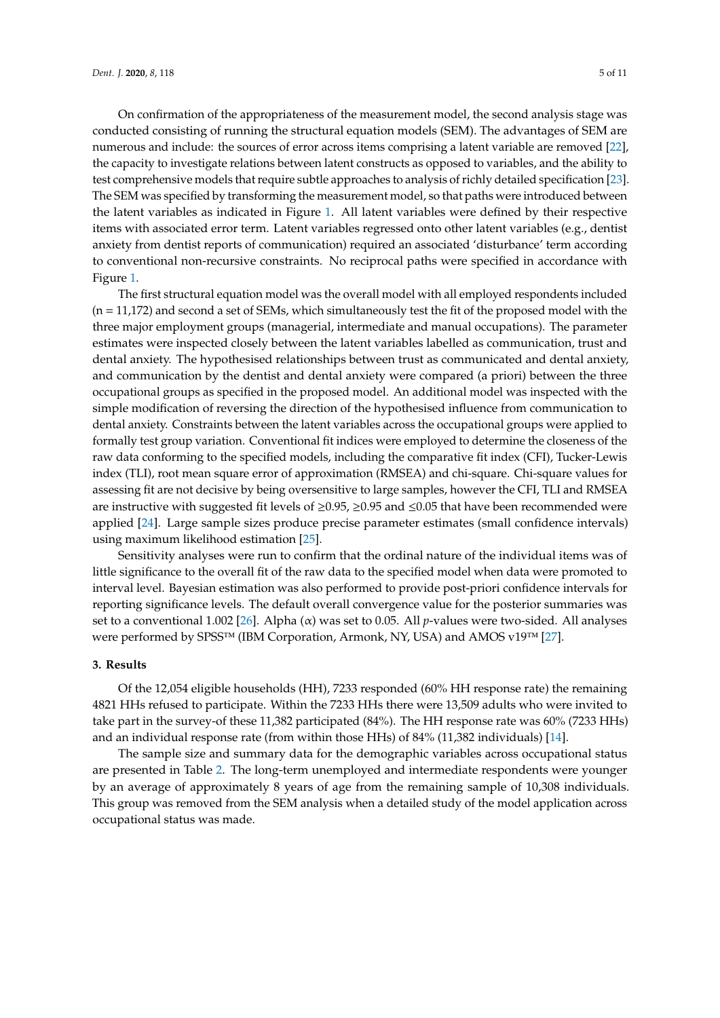On confirmation of the appropriateness of the measurement model, the second analysis stage was conducted consisting of running the structural equation models (SEM). The advantages of SEM are numerous and include: the sources of error across items comprising a latent variable are removed [\[22\]](#page-10-7), the capacity to investigate relations between latent constructs as opposed to variables, and the ability to test comprehensive models that require subtle approaches to analysis of richly detailed specification [\[23\]](#page-10-8). The SEM was specified by transforming the measurement model, so that paths were introduced between the latent variables as indicated in Figure [1.](#page-2-0) All latent variables were defined by their respective items with associated error term. Latent variables regressed onto other latent variables (e.g., dentist anxiety from dentist reports of communication) required an associated 'disturbance' term according to conventional non-recursive constraints. No reciprocal paths were specified in accordance with Figure [1.](#page-2-0)

The first structural equation model was the overall model with all employed respondents included  $(n = 11,172)$  and second a set of SEMs, which simultaneously test the fit of the proposed model with the three major employment groups (managerial, intermediate and manual occupations). The parameter estimates were inspected closely between the latent variables labelled as communication, trust and dental anxiety. The hypothesised relationships between trust as communicated and dental anxiety, and communication by the dentist and dental anxiety were compared (a priori) between the three occupational groups as specified in the proposed model. An additional model was inspected with the simple modification of reversing the direction of the hypothesised influence from communication to dental anxiety. Constraints between the latent variables across the occupational groups were applied to formally test group variation. Conventional fit indices were employed to determine the closeness of the raw data conforming to the specified models, including the comparative fit index (CFI), Tucker-Lewis index (TLI), root mean square error of approximation (RMSEA) and chi-square. Chi-square values for assessing fit are not decisive by being oversensitive to large samples, however the CFI, TLI and RMSEA are instructive with suggested fit levels of ≥0.95, ≥0.95 and ≤0.05 that have been recommended were applied [\[24\]](#page-10-9). Large sample sizes produce precise parameter estimates (small confidence intervals) using maximum likelihood estimation [\[25\]](#page-10-10).

Sensitivity analyses were run to confirm that the ordinal nature of the individual items was of little significance to the overall fit of the raw data to the specified model when data were promoted to interval level. Bayesian estimation was also performed to provide post-priori confidence intervals for reporting significance levels. The default overall convergence value for the posterior summaries was set to a conventional 1.002 [\[26\]](#page-10-11). Alpha (α) was set to 0.05. All *p*-values were two-sided. All analyses were performed by SPSS™ (IBM Corporation, Armonk, NY, USA) and AMOS v19™ [\[27\]](#page-10-12).

#### **3. Results**

Of the 12,054 eligible households (HH), 7233 responded (60% HH response rate) the remaining 4821 HHs refused to participate. Within the 7233 HHs there were 13,509 adults who were invited to take part in the survey-of these 11,382 participated (84%). The HH response rate was 60% (7233 HHs) and an individual response rate (from within those HHs) of 84% (11,382 individuals) [\[14\]](#page-9-13).

The sample size and summary data for the demographic variables across occupational status are presented in Table [2.](#page-6-0) The long-term unemployed and intermediate respondents were younger by an average of approximately 8 years of age from the remaining sample of 10,308 individuals. This group was removed from the SEM analysis when a detailed study of the model application across occupational status was made.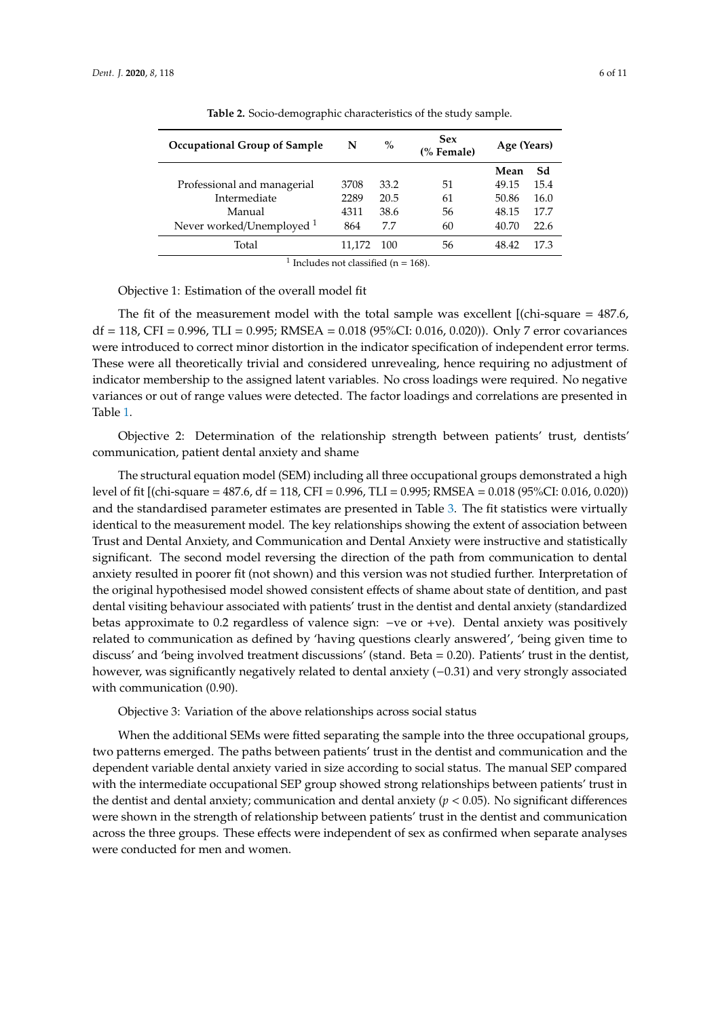<span id="page-6-0"></span>

| Occupational Group of Sample         | N      | $\%$           | <b>Sex</b><br>(% Female) | Age (Years) |      |
|--------------------------------------|--------|----------------|--------------------------|-------------|------|
|                                      |        |                |                          | Mean        | Sd   |
| Professional and managerial          | 3708   | 33.2           | 51                       | 49.15       | 15.4 |
| Intermediate                         | 2289   | 20.5           | 61                       | 50.86       | 16.0 |
| Manual                               | 4311   | 38.6           | 56                       | 48.15       | 17.7 |
| Never worked/Unemployed <sup>1</sup> | 864    | 7.7            | 60                       | 40.70       | 22.6 |
| Total                                | 11.172 | <sup>100</sup> | 56                       | 48.42       | 17.3 |
|                                      |        |                |                          |             |      |

**Table 2.** Socio-demographic characteristics of the study sample.

<sup>1</sup> Includes not classified ( $n = 168$ ).

#### Objective 1: Estimation of the overall model fit

The fit of the measurement model with the total sample was excellent  $[$ (chi-square = 487.6, df = 118, CFI = 0.996, TLI = 0.995; RMSEA = 0.018 (95%CI: 0.016, 0.020)). Only 7 error covariances were introduced to correct minor distortion in the indicator specification of independent error terms. These were all theoretically trivial and considered unrevealing, hence requiring no adjustment of indicator membership to the assigned latent variables. No cross loadings were required. No negative variances or out of range values were detected. The factor loadings and correlations are presented in Table [1.](#page-4-0)

Objective 2: Determination of the relationship strength between patients' trust, dentists' communication, patient dental anxiety and shame

The structural equation model (SEM) including all three occupational groups demonstrated a high level of fit [(chi-square = 487.6, df = 118, CFI = 0.996, TLI = 0.995; RMSEA = 0.018 (95%CI: 0.016, 0.020)) and the standardised parameter estimates are presented in Table [3.](#page-7-0) The fit statistics were virtually identical to the measurement model. The key relationships showing the extent of association between Trust and Dental Anxiety, and Communication and Dental Anxiety were instructive and statistically significant. The second model reversing the direction of the path from communication to dental anxiety resulted in poorer fit (not shown) and this version was not studied further. Interpretation of the original hypothesised model showed consistent effects of shame about state of dentition, and past dental visiting behaviour associated with patients' trust in the dentist and dental anxiety (standardized betas approximate to 0.2 regardless of valence sign: −ve or +ve). Dental anxiety was positively related to communication as defined by 'having questions clearly answered', 'being given time to discuss' and 'being involved treatment discussions' (stand. Beta = 0.20). Patients' trust in the dentist, however, was significantly negatively related to dental anxiety (−0.31) and very strongly associated with communication (0.90).

Objective 3: Variation of the above relationships across social status

When the additional SEMs were fitted separating the sample into the three occupational groups, two patterns emerged. The paths between patients' trust in the dentist and communication and the dependent variable dental anxiety varied in size according to social status. The manual SEP compared with the intermediate occupational SEP group showed strong relationships between patients' trust in the dentist and dental anxiety; communication and dental anxiety ( $p < 0.05$ ). No significant differences were shown in the strength of relationship between patients' trust in the dentist and communication across the three groups. These effects were independent of sex as confirmed when separate analyses were conducted for men and women.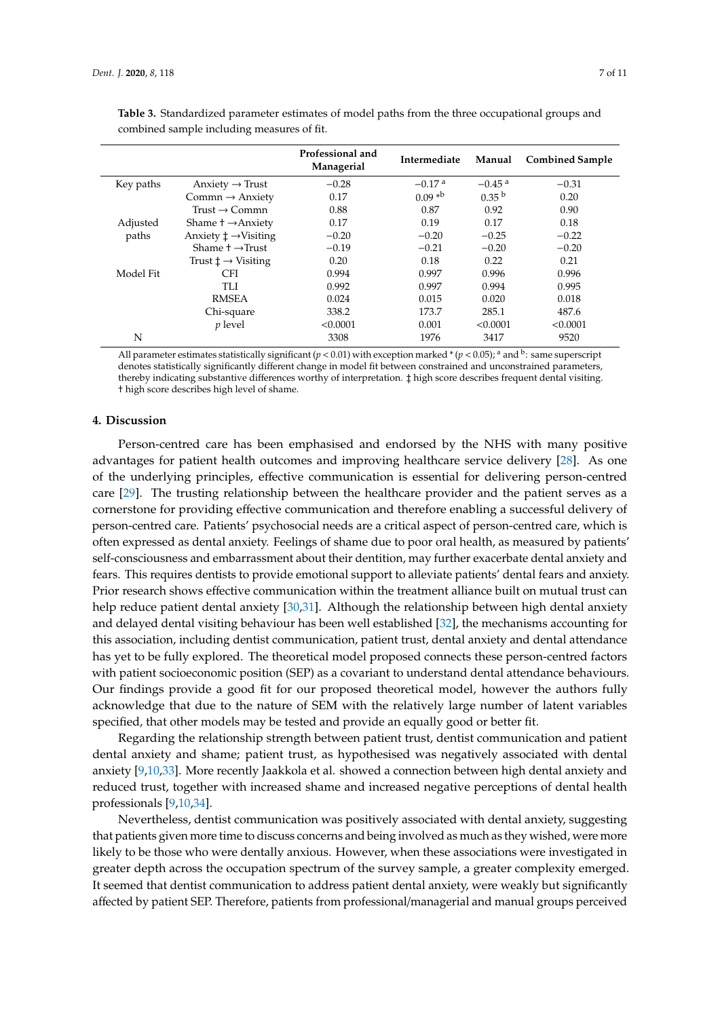|           |                                         | Professional and<br>Managerial | Intermediate         | Manual               | <b>Combined Sample</b> |
|-----------|-----------------------------------------|--------------------------------|----------------------|----------------------|------------------------|
| Key paths | Anxiety $\rightarrow$ Trust             | $-0.28$                        | $-0.17$ <sup>a</sup> | $-0.45$ <sup>a</sup> | $-0.31$                |
|           | Commn $\rightarrow$ Anxiety             | 0.17                           | $0.09 * b$           | 0.35 <sup>b</sup>    | 0.20                   |
|           | Trust $\rightarrow$ Commn               | 0.88                           | 0.87                 | 0.92                 | 0.90                   |
| Adjusted  | Shame $\dagger \rightarrow$ Anxiety     | 0.17                           | 0.19                 | 0.17                 | 0.18                   |
| paths     | Anxiety $\uparrow \rightarrow$ Visiting | $-0.20$                        | $-0.20$              | $-0.25$              | $-0.22$                |
|           | Shame $\dagger \rightarrow$ Trust       | $-0.19$                        | $-0.21$              | $-0.20$              | $-0.20$                |
|           | Trust $\uparrow \rightarrow$ Visiting   | 0.20                           | 0.18                 | 0.22                 | 0.21                   |
| Model Fit | <b>CFI</b>                              | 0.994                          | 0.997                | 0.996                | 0.996                  |
|           | TLI                                     | 0.992                          | 0.997                | 0.994                | 0.995                  |
|           | <b>RMSEA</b>                            | 0.024                          | 0.015                | 0.020                | 0.018                  |
|           | Chi-square                              | 338.2                          | 173.7                | 285.1                | 487.6                  |
|           | $p$ level                               | < 0.0001                       | 0.001                | < 0.0001             | < 0.0001               |
| N         |                                         | 3308                           | 1976                 | 3417                 | 9520                   |

<span id="page-7-0"></span>**Table 3.** Standardized parameter estimates of model paths from the three occupational groups and combined sample including measures of fit.

All parameter estimates statistically significant (*p* < 0.01) with exception marked \* (*p* < 0.05); <sup>a</sup> and <sup>b</sup>: same superscript denotes statistically significantly different change in model fit between constrained and unconstrained parameters, thereby indicating substantive differences worthy of interpretation. ‡ high score describes frequent dental visiting. † high score describes high level of shame.

#### **4. Discussion**

Person-centred care has been emphasised and endorsed by the NHS with many positive advantages for patient health outcomes and improving healthcare service delivery [\[28\]](#page-10-13). As one of the underlying principles, effective communication is essential for delivering person-centred care [\[29\]](#page-10-14). The trusting relationship between the healthcare provider and the patient serves as a cornerstone for providing effective communication and therefore enabling a successful delivery of person-centred care. Patients' psychosocial needs are a critical aspect of person-centred care, which is often expressed as dental anxiety. Feelings of shame due to poor oral health, as measured by patients' self-consciousness and embarrassment about their dentition, may further exacerbate dental anxiety and fears. This requires dentists to provide emotional support to alleviate patients' dental fears and anxiety. Prior research shows effective communication within the treatment alliance built on mutual trust can help reduce patient dental anxiety [\[30,](#page-10-15)[31\]](#page-10-16). Although the relationship between high dental anxiety and delayed dental visiting behaviour has been well established [\[32\]](#page-10-17), the mechanisms accounting for this association, including dentist communication, patient trust, dental anxiety and dental attendance has yet to be fully explored. The theoretical model proposed connects these person-centred factors with patient socioeconomic position (SEP) as a covariant to understand dental attendance behaviours. Our findings provide a good fit for our proposed theoretical model, however the authors fully acknowledge that due to the nature of SEM with the relatively large number of latent variables specified, that other models may be tested and provide an equally good or better fit.

Regarding the relationship strength between patient trust, dentist communication and patient dental anxiety and shame; patient trust, as hypothesised was negatively associated with dental anxiety [\[9](#page-9-8)[,10](#page-9-9)[,33\]](#page-10-18). More recently Jaakkola et al. showed a connection between high dental anxiety and reduced trust, together with increased shame and increased negative perceptions of dental health professionals [\[9](#page-9-8)[,10](#page-9-9)[,34\]](#page-10-19).

Nevertheless, dentist communication was positively associated with dental anxiety, suggesting that patients given more time to discuss concerns and being involved as much as they wished, were more likely to be those who were dentally anxious. However, when these associations were investigated in greater depth across the occupation spectrum of the survey sample, a greater complexity emerged. It seemed that dentist communication to address patient dental anxiety, were weakly but significantly affected by patient SEP. Therefore, patients from professional/managerial and manual groups perceived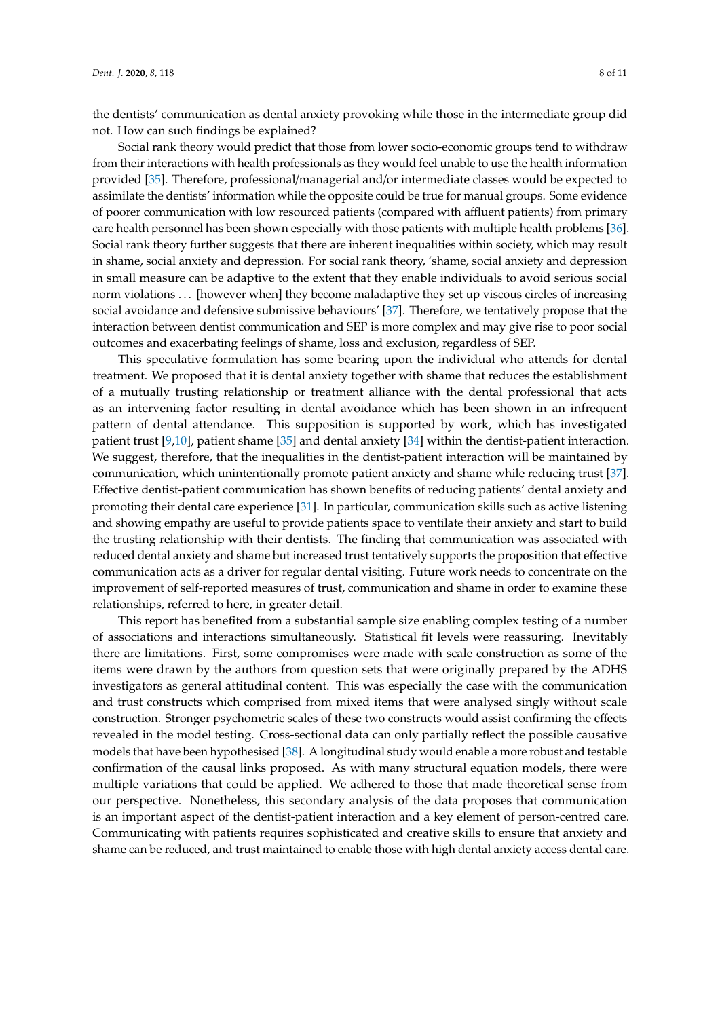the dentists' communication as dental anxiety provoking while those in the intermediate group did not. How can such findings be explained?

Social rank theory would predict that those from lower socio-economic groups tend to withdraw from their interactions with health professionals as they would feel unable to use the health information provided [\[35\]](#page-10-20). Therefore, professional/managerial and/or intermediate classes would be expected to assimilate the dentists' information while the opposite could be true for manual groups. Some evidence of poorer communication with low resourced patients (compared with affluent patients) from primary care health personnel has been shown especially with those patients with multiple health problems [\[36\]](#page-10-21). Social rank theory further suggests that there are inherent inequalities within society, which may result in shame, social anxiety and depression. For social rank theory, 'shame, social anxiety and depression in small measure can be adaptive to the extent that they enable individuals to avoid serious social norm violations . . . [however when] they become maladaptive they set up viscous circles of increasing social avoidance and defensive submissive behaviours' [\[37\]](#page-10-22). Therefore, we tentatively propose that the interaction between dentist communication and SEP is more complex and may give rise to poor social outcomes and exacerbating feelings of shame, loss and exclusion, regardless of SEP.

This speculative formulation has some bearing upon the individual who attends for dental treatment. We proposed that it is dental anxiety together with shame that reduces the establishment of a mutually trusting relationship or treatment alliance with the dental professional that acts as an intervening factor resulting in dental avoidance which has been shown in an infrequent pattern of dental attendance. This supposition is supported by work, which has investigated patient trust [\[9,](#page-9-8)[10\]](#page-9-9), patient shame [\[35\]](#page-10-20) and dental anxiety [\[34\]](#page-10-19) within the dentist-patient interaction. We suggest, therefore, that the inequalities in the dentist-patient interaction will be maintained by communication, which unintentionally promote patient anxiety and shame while reducing trust [\[37\]](#page-10-22). Effective dentist-patient communication has shown benefits of reducing patients' dental anxiety and promoting their dental care experience [\[31\]](#page-10-16). In particular, communication skills such as active listening and showing empathy are useful to provide patients space to ventilate their anxiety and start to build the trusting relationship with their dentists. The finding that communication was associated with reduced dental anxiety and shame but increased trust tentatively supports the proposition that effective communication acts as a driver for regular dental visiting. Future work needs to concentrate on the improvement of self-reported measures of trust, communication and shame in order to examine these relationships, referred to here, in greater detail.

This report has benefited from a substantial sample size enabling complex testing of a number of associations and interactions simultaneously. Statistical fit levels were reassuring. Inevitably there are limitations. First, some compromises were made with scale construction as some of the items were drawn by the authors from question sets that were originally prepared by the ADHS investigators as general attitudinal content. This was especially the case with the communication and trust constructs which comprised from mixed items that were analysed singly without scale construction. Stronger psychometric scales of these two constructs would assist confirming the effects revealed in the model testing. Cross-sectional data can only partially reflect the possible causative models that have been hypothesised [\[38\]](#page-10-23). A longitudinal study would enable a more robust and testable confirmation of the causal links proposed. As with many structural equation models, there were multiple variations that could be applied. We adhered to those that made theoretical sense from our perspective. Nonetheless, this secondary analysis of the data proposes that communication is an important aspect of the dentist-patient interaction and a key element of person-centred care. Communicating with patients requires sophisticated and creative skills to ensure that anxiety and shame can be reduced, and trust maintained to enable those with high dental anxiety access dental care.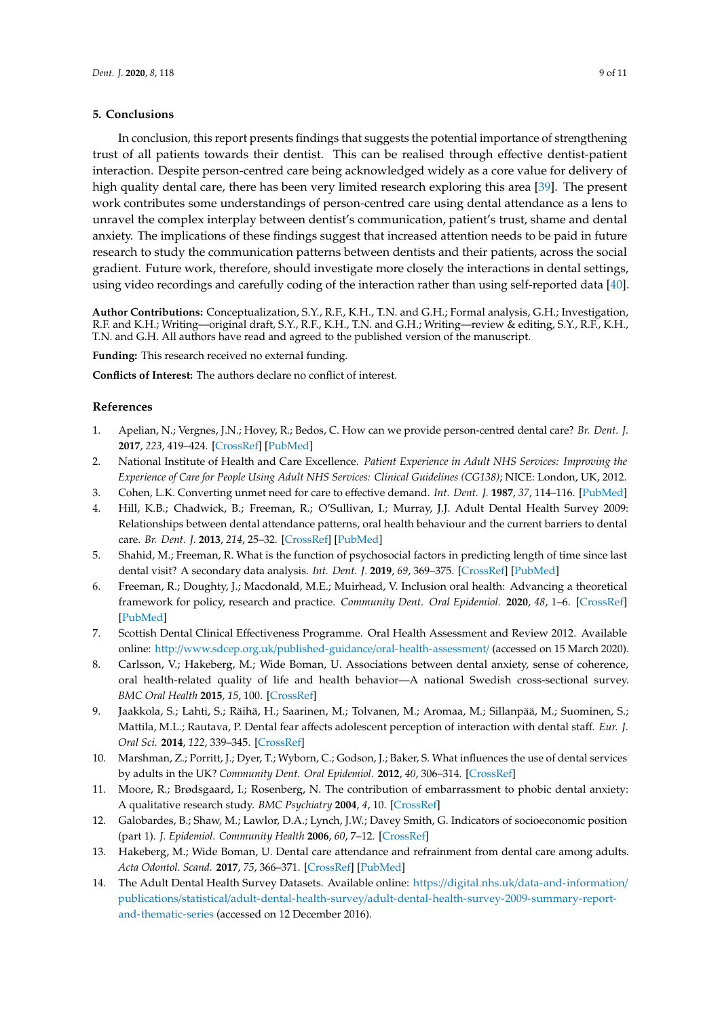#### **5. Conclusions**

In conclusion, this report presents findings that suggests the potential importance of strengthening trust of all patients towards their dentist. This can be realised through effective dentist-patient interaction. Despite person-centred care being acknowledged widely as a core value for delivery of high quality dental care, there has been very limited research exploring this area [\[39\]](#page-11-0). The present work contributes some understandings of person-centred care using dental attendance as a lens to unravel the complex interplay between dentist's communication, patient's trust, shame and dental anxiety. The implications of these findings suggest that increased attention needs to be paid in future research to study the communication patterns between dentists and their patients, across the social gradient. Future work, therefore, should investigate more closely the interactions in dental settings, using video recordings and carefully coding of the interaction rather than using self-reported data [\[40\]](#page-11-1).

**Author Contributions:** Conceptualization, S.Y., R.F., K.H., T.N. and G.H.; Formal analysis, G.H.; Investigation, R.F. and K.H.; Writing—original draft, S.Y., R.F., K.H., T.N. and G.H.; Writing—review & editing, S.Y., R.F., K.H., T.N. and G.H. All authors have read and agreed to the published version of the manuscript.

**Funding:** This research received no external funding.

**Conflicts of Interest:** The authors declare no conflict of interest.

#### **References**

- <span id="page-9-0"></span>1. Apelian, N.; Vergnes, J.N.; Hovey, R.; Bedos, C. How can we provide person-centred dental care? *Br. Dent. J.* **2017**, *223*, 419–424. [\[CrossRef\]](http://dx.doi.org/10.1038/sj.bdj.2017.806) [\[PubMed\]](http://www.ncbi.nlm.nih.gov/pubmed/28937118)
- <span id="page-9-1"></span>2. National Institute of Health and Care Excellence. *Patient Experience in Adult NHS Services: Improving the Experience of Care for People Using Adult NHS Services: Clinical Guidelines (CG138)*; NICE: London, UK, 2012.
- <span id="page-9-2"></span>3. Cohen, L.K. Converting unmet need for care to effective demand. *Int. Dent. J.* **1987**, *37*, 114–116. [\[PubMed\]](http://www.ncbi.nlm.nih.gov/pubmed/3476462)
- <span id="page-9-3"></span>4. Hill, K.B.; Chadwick, B.; Freeman, R.; O'Sullivan, I.; Murray, J.J. Adult Dental Health Survey 2009: Relationships between dental attendance patterns, oral health behaviour and the current barriers to dental care. *Br. Dent. J.* **2013**, *214*, 25–32. [\[CrossRef\]](http://dx.doi.org/10.1038/sj.bdj.2012.1176) [\[PubMed\]](http://www.ncbi.nlm.nih.gov/pubmed/23306496)
- <span id="page-9-4"></span>5. Shahid, M.; Freeman, R. What is the function of psychosocial factors in predicting length of time since last dental visit? A secondary data analysis. *Int. Dent. J.* **2019**, *69*, 369–375. [\[CrossRef\]](http://dx.doi.org/10.1111/idj.12483) [\[PubMed\]](http://www.ncbi.nlm.nih.gov/pubmed/30980386)
- <span id="page-9-5"></span>6. Freeman, R.; Doughty, J.; Macdonald, M.E.; Muirhead, V. Inclusion oral health: Advancing a theoretical framework for policy, research and practice. *Community Dent. Oral Epidemiol.* **2020**, *48*, 1–6. [\[CrossRef\]](http://dx.doi.org/10.1111/cdoe.12500) [\[PubMed\]](http://www.ncbi.nlm.nih.gov/pubmed/31625202)
- <span id="page-9-6"></span>7. Scottish Dental Clinical Effectiveness Programme. Oral Health Assessment and Review 2012. Available online: http://www.sdcep.org.uk/published-guidance/[oral-health-assessment](http://www.sdcep.org.uk/published-guidance/oral-health-assessment/)/ (accessed on 15 March 2020).
- <span id="page-9-7"></span>8. Carlsson, V.; Hakeberg, M.; Wide Boman, U. Associations between dental anxiety, sense of coherence, oral health-related quality of life and health behavior—A national Swedish cross-sectional survey. *BMC Oral Health* **2015**, *15*, 100. [\[CrossRef\]](http://dx.doi.org/10.1186/s12903-015-0088-5)
- <span id="page-9-8"></span>9. Jaakkola, S.; Lahti, S.; Räihä, H.; Saarinen, M.; Tolvanen, M.; Aromaa, M.; Sillanpää, M.; Suominen, S.; Mattila, M.L.; Rautava, P. Dental fear affects adolescent perception of interaction with dental staff. *Eur. J. Oral Sci.* **2014**, *122*, 339–345. [\[CrossRef\]](http://dx.doi.org/10.1111/eos.12142)
- <span id="page-9-9"></span>10. Marshman, Z.; Porritt, J.; Dyer, T.; Wyborn, C.; Godson, J.; Baker, S. What influences the use of dental services by adults in the UK? *Community Dent. Oral Epidemiol.* **2012**, *40*, 306–314. [\[CrossRef\]](http://dx.doi.org/10.1111/j.1600-0528.2012.00675.x)
- <span id="page-9-10"></span>11. Moore, R.; Brødsgaard, I.; Rosenberg, N. The contribution of embarrassment to phobic dental anxiety: A qualitative research study. *BMC Psychiatry* **2004**, *4*, 10. [\[CrossRef\]](http://dx.doi.org/10.1186/1471-244X-4-10)
- <span id="page-9-11"></span>12. Galobardes, B.; Shaw, M.; Lawlor, D.A.; Lynch, J.W.; Davey Smith, G. Indicators of socioeconomic position (part 1). *J. Epidemiol. Community Health* **2006**, *60*, 7–12. [\[CrossRef\]](http://dx.doi.org/10.1136/jech.2004.023531)
- <span id="page-9-12"></span>13. Hakeberg, M.; Wide Boman, U. Dental care attendance and refrainment from dental care among adults. *Acta Odontol. Scand.* **2017**, *75*, 366–371. [\[CrossRef\]](http://dx.doi.org/10.1080/00016357.2017.1317105) [\[PubMed\]](http://www.ncbi.nlm.nih.gov/pubmed/28420315)
- <span id="page-9-13"></span>14. The Adult Dental Health Survey Datasets. Available online: https://digital.nhs.uk/[data-and-information](https://digital.nhs.uk/data-and-information/publications/statistical/adult-dental-health-survey/adult-dental-health-survey-2009-summary-report-and-thematic-series)/ publications/statistical/adult-dental-health-survey/[adult-dental-health-survey-2009-summary-report](https://digital.nhs.uk/data-and-information/publications/statistical/adult-dental-health-survey/adult-dental-health-survey-2009-summary-report-and-thematic-series)[and-thematic-series](https://digital.nhs.uk/data-and-information/publications/statistical/adult-dental-health-survey/adult-dental-health-survey-2009-summary-report-and-thematic-series) (accessed on 12 December 2016).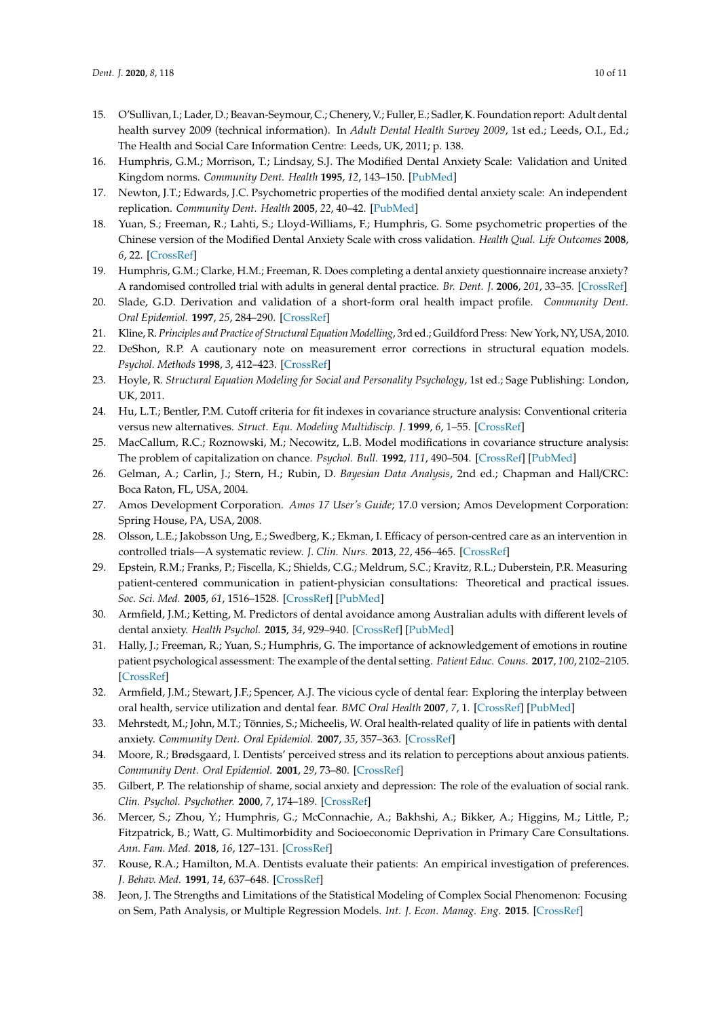- <span id="page-10-0"></span>15. O'Sullivan, I.; Lader, D.; Beavan-Seymour, C.; Chenery, V.; Fuller, E.; Sadler, K. Foundation report: Adult dental health survey 2009 (technical information). In *Adult Dental Health Survey 2009*, 1st ed.; Leeds, O.I., Ed.; The Health and Social Care Information Centre: Leeds, UK, 2011; p. 138.
- <span id="page-10-1"></span>16. Humphris, G.M.; Morrison, T.; Lindsay, S.J. The Modified Dental Anxiety Scale: Validation and United Kingdom norms. *Community Dent. Health* **1995**, *12*, 143–150. [\[PubMed\]](http://www.ncbi.nlm.nih.gov/pubmed/7584581)
- <span id="page-10-2"></span>17. Newton, J.T.; Edwards, J.C. Psychometric properties of the modified dental anxiety scale: An independent replication. *Community Dent. Health* **2005**, *22*, 40–42. [\[PubMed\]](http://www.ncbi.nlm.nih.gov/pubmed/15819115)
- <span id="page-10-3"></span>18. Yuan, S.; Freeman, R.; Lahti, S.; Lloyd-Williams, F.; Humphris, G. Some psychometric properties of the Chinese version of the Modified Dental Anxiety Scale with cross validation. *Health Qual. Life Outcomes* **2008**, *6*, 22. [\[CrossRef\]](http://dx.doi.org/10.1186/1477-7525-6-22)
- <span id="page-10-4"></span>19. Humphris, G.M.; Clarke, H.M.; Freeman, R. Does completing a dental anxiety questionnaire increase anxiety? A randomised controlled trial with adults in general dental practice. *Br. Dent. J.* **2006**, *201*, 33–35. [\[CrossRef\]](http://dx.doi.org/10.1038/sj.bdj.4813772)
- <span id="page-10-5"></span>20. Slade, G.D. Derivation and validation of a short-form oral health impact profile. *Community Dent. Oral Epidemiol.* **1997**, *25*, 284–290. [\[CrossRef\]](http://dx.doi.org/10.1111/j.1600-0528.1997.tb00941.x)
- <span id="page-10-6"></span>21. Kline, R. *Principles and Practice of Structural Equation Modelling*, 3rd ed.; Guildford Press: New York, NY, USA, 2010.
- <span id="page-10-7"></span>22. DeShon, R.P. A cautionary note on measurement error corrections in structural equation models. *Psychol. Methods* **1998**, *3*, 412–423. [\[CrossRef\]](http://dx.doi.org/10.1037/1082-989X.3.4.412)
- <span id="page-10-8"></span>23. Hoyle, R. *Structural Equation Modeling for Social and Personality Psychology*, 1st ed.; Sage Publishing: London, UK, 2011.
- <span id="page-10-9"></span>24. Hu, L.T.; Bentler, P.M. Cutoff criteria for fit indexes in covariance structure analysis: Conventional criteria versus new alternatives. *Struct. Equ. Modeling Multidiscip. J.* **1999**, *6*, 1–55. [\[CrossRef\]](http://dx.doi.org/10.1080/10705519909540118)
- <span id="page-10-10"></span>25. MacCallum, R.C.; Roznowski, M.; Necowitz, L.B. Model modifications in covariance structure analysis: The problem of capitalization on chance. *Psychol. Bull.* **1992**, *111*, 490–504. [\[CrossRef\]](http://dx.doi.org/10.1037/0033-2909.111.3.490) [\[PubMed\]](http://www.ncbi.nlm.nih.gov/pubmed/16250105)
- <span id="page-10-11"></span>26. Gelman, A.; Carlin, J.; Stern, H.; Rubin, D. *Bayesian Data Analysis*, 2nd ed.; Chapman and Hall/CRC: Boca Raton, FL, USA, 2004.
- <span id="page-10-12"></span>27. Amos Development Corporation. *Amos 17 User's Guide*; 17.0 version; Amos Development Corporation: Spring House, PA, USA, 2008.
- <span id="page-10-13"></span>28. Olsson, L.E.; Jakobsson Ung, E.; Swedberg, K.; Ekman, I. Efficacy of person-centred care as an intervention in controlled trials—A systematic review. *J. Clin. Nurs.* **2013**, *22*, 456–465. [\[CrossRef\]](http://dx.doi.org/10.1111/jocn.12039)
- <span id="page-10-14"></span>29. Epstein, R.M.; Franks, P.; Fiscella, K.; Shields, C.G.; Meldrum, S.C.; Kravitz, R.L.; Duberstein, P.R. Measuring patient-centered communication in patient-physician consultations: Theoretical and practical issues. *Soc. Sci. Med.* **2005**, *61*, 1516–1528. [\[CrossRef\]](http://dx.doi.org/10.1016/j.socscimed.2005.02.001) [\[PubMed\]](http://www.ncbi.nlm.nih.gov/pubmed/16005784)
- <span id="page-10-15"></span>30. Armfield, J.M.; Ketting, M. Predictors of dental avoidance among Australian adults with different levels of dental anxiety. *Health Psychol.* **2015**, *34*, 929–940. [\[CrossRef\]](http://dx.doi.org/10.1037/hea0000186) [\[PubMed\]](http://www.ncbi.nlm.nih.gov/pubmed/25528183)
- <span id="page-10-16"></span>31. Hally, J.; Freeman, R.; Yuan, S.; Humphris, G. The importance of acknowledgement of emotions in routine patient psychological assessment: The example of the dental setting. *Patient Educ. Couns.* **2017**, *100*, 2102–2105. [\[CrossRef\]](http://dx.doi.org/10.1016/j.pec.2017.05.005)
- <span id="page-10-17"></span>32. Armfield, J.M.; Stewart, J.F.; Spencer, A.J. The vicious cycle of dental fear: Exploring the interplay between oral health, service utilization and dental fear. *BMC Oral Health* **2007**, *7*, 1. [\[CrossRef\]](http://dx.doi.org/10.1186/1472-6831-7-1) [\[PubMed\]](http://www.ncbi.nlm.nih.gov/pubmed/17222356)
- <span id="page-10-18"></span>33. Mehrstedt, M.; John, M.T.; Tönnies, S.; Micheelis, W. Oral health-related quality of life in patients with dental anxiety. *Community Dent. Oral Epidemiol.* **2007**, *35*, 357–363. [\[CrossRef\]](http://dx.doi.org/10.1111/j.1600-0528.2007.00376.x)
- <span id="page-10-19"></span>34. Moore, R.; Brødsgaard, I. Dentists' perceived stress and its relation to perceptions about anxious patients. *Community Dent. Oral Epidemiol.* **2001**, *29*, 73–80. [\[CrossRef\]](http://dx.doi.org/10.1034/j.1600-0528.2001.00011.x)
- <span id="page-10-20"></span>35. Gilbert, P. The relationship of shame, social anxiety and depression: The role of the evaluation of social rank. *Clin. Psychol. Psychother.* **2000**, *7*, 174–189. [\[CrossRef\]](http://dx.doi.org/10.1002/1099-0879(200007)7:3<174::AID-CPP236>3.0.CO;2-U)
- <span id="page-10-21"></span>36. Mercer, S.; Zhou, Y.; Humphris, G.; McConnachie, A.; Bakhshi, A.; Bikker, A.; Higgins, M.; Little, P.; Fitzpatrick, B.; Watt, G. Multimorbidity and Socioeconomic Deprivation in Primary Care Consultations. *Ann. Fam. Med.* **2018**, *16*, 127–131. [\[CrossRef\]](http://dx.doi.org/10.1370/afm.2202)
- <span id="page-10-22"></span>37. Rouse, R.A.; Hamilton, M.A. Dentists evaluate their patients: An empirical investigation of preferences. *J. Behav. Med.* **1991**, *14*, 637–648. [\[CrossRef\]](http://dx.doi.org/10.1007/BF00867176)
- <span id="page-10-23"></span>38. Jeon, J. The Strengths and Limitations of the Statistical Modeling of Complex Social Phenomenon: Focusing on Sem, Path Analysis, or Multiple Regression Models. *Int. J. Econ. Manag. Eng.* **2015**. [\[CrossRef\]](http://dx.doi.org/10.5281/zenodo.1105868)